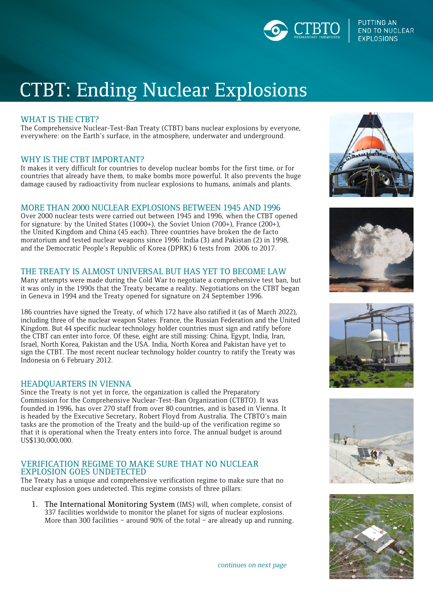

**PUTTING AN END TO NUCLEAR EXPLOSIONS** 

# CTBT: Ending Nuclear Explosions

## WHAT IS THE CTBT?

The Comprehensive Nuclear-Test-Ban Treaty (CTBT) bans nuclear explosions by everyone, everywhere: on the Earth's surface, in the atmosphere, underwater and underground.

## WHY IS THE CTBT IMPORTANT?

It makes it very difficult for countries to develop nuclear bombs for the first time, or for countries that already have them, to make bombs more powerful. It also prevents the huge damage caused by radioactivity from nuclear explosions to humans, animals and plants.

## MORE THAN 2000 NUCLEAR EXPLOSIONS BETWEEN 1945 AND 1996

Over 2000 nuclear tests were carried out between 1945 and 1996, when the CTBT opened for signature: by the United States (1000+), the Soviet Union (700+), France (200+), the United Kingdom and China (45 each). Three countries have broken the de facto moratorium and tested nuclear weapons since 1996: India (3) and Pakistan (2) in 1998, and the Democratic People's Republic of Korea (DPRK) 6 tests from 2006 to 2017.

### THE TREATY IS ALMOST UNIVERSAL BUT HAS YET TO BECOME LAW

Many attempts were made during the Cold War to negotiate a comprehensive test ban, but it was only in the 1990s that the Treaty became a reality. Negotiations on the CTBT began in Geneva in 1994 and the Treaty opened for signature on 24 September 1996.

186 countries have signed the Treaty, of which 172 have also ratified it (as of March 2022), including three of the nuclear weapon States: France, the Russian Federation and the United Kingdom. But 44 specific nuclear technology holder countries must sign and ratify before the CTBT can enter into force. Of these, eight are still missing: China, Egypt, India, Iran, Israel, North Korea, Pakistan and the USA. India, North Korea and Pakistan have yet to sign the CTBT. The most recent nuclear technology holder country to ratify the Treaty was Indonesia on 6 February 2012.

#### HEADQUARTERS IN VIENNA

Since the Treaty is not yet in force, the organization is called the Preparatory Commission for the Comprehensive Nuclear-Test-Ban Organization (CTBTO). It was founded in 1996, has over 270 staff from over 80 countries, and is based in Vienna. It is headed by the Executive Secretary, Robert Floyd from Australia. The CTBTO's main tasks are the promotion of the Treaty and the build-up of the verification regime so that it is operational when the Treaty enters into force. The annual budget is around US\$130,000,000.

### VERIFICATION REGIME TO MAKE SURE THAT NO NUCLEAR EXPLOSION GOES UNDETECTED

The Treaty has a unique and comprehensive verification regime to make sure that no nuclear explosion goes undetected. This regime consists of three pillars:

1. The International Monitoring System (IMS) will, when complete, consist of 337 facilities worldwide to monitor the planet for signs of nuclear explosions. More than 300 facilities – around 90% of the total – are already up and running.











continues on next page